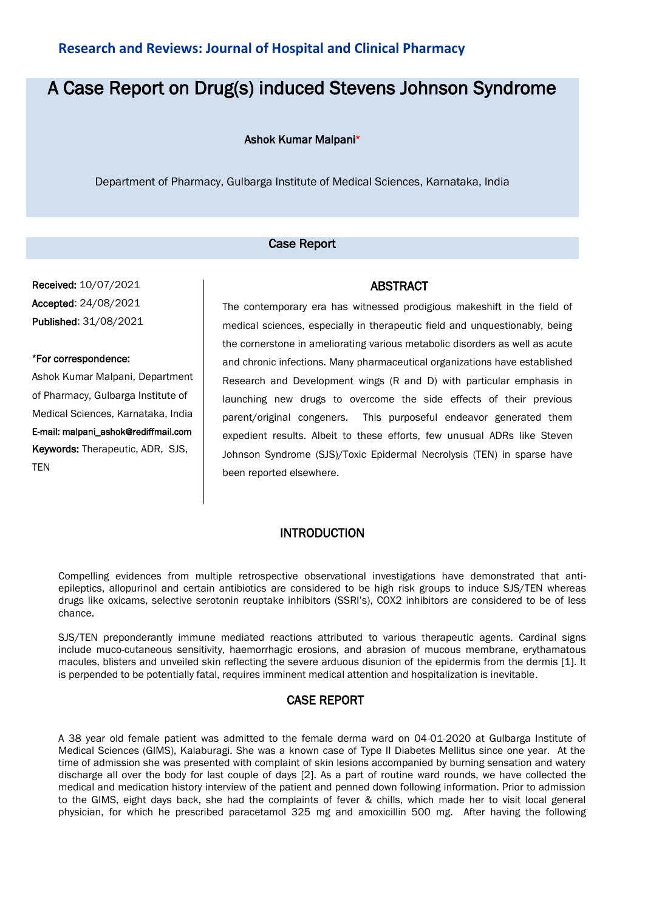## **Research and Reviews: Journal of Hospital and Clinical Pharmacy**

# A Case Report on Drug(s) induced Stevens Johnson Syndrome

Ashok Kumar Malpani\*

Department of Pharmacy, Gulbarga Institute of Medical Sciences, Karnataka, India

#### Case Report

Received: 10/07/2021 Accepted: 24/08/2021 Published: 31/08/2021

#### \*For correspondence:

Ashok Kumar Malpani, Department of Pharmacy, Gulbarga Institute of Medical Sciences, Karnataka, India E-mail: malpani\_ashok@rediffmail.com Keywords: Therapeutic, ADR, SJS, TEN

### ABSTRACT

The contemporary era has witnessed prodigious makeshift in the field of medical sciences, especially in therapeutic field and unquestionably, being the cornerstone in ameliorating various metabolic disorders as well as acute and chronic infections. Many pharmaceutical organizations have established Research and Development wings (R and D) with particular emphasis in launching new drugs to overcome the side effects of their previous parent/original congeners. This purposeful endeavor generated them expedient results. Albeit to these efforts, few unusual ADRs like Steven Johnson Syndrome (SJS)/Toxic Epidermal Necrolysis (TEN) in sparse have been reported elsewhere.

#### **INTRODUCTION**

Compelling evidences from multiple retrospective observational investigations have demonstrated that antiepileptics, allopurinol and certain antibiotics are considered to be high risk groups to induce SJS/TEN whereas drugs like oxicams, selective serotonin reuptake inhibitors (SSRI's), COX2 inhibitors are considered to be of less chance.

SJS/TEN preponderantly immune mediated reactions attributed to various therapeutic agents. Cardinal signs include muco-cutaneous sensitivity, haemorrhagic erosions, and abrasion of mucous membrane, erythamatous macules, blisters and unveiled skin reflecting the severe arduous disunion of the epidermis from the dermis [1]. It is perpended to be potentially fatal, requires imminent medical attention and hospitalization is inevitable.

#### CASE REPORT

A 38 year old female patient was admitted to the female derma ward on 04-01-2020 at Gulbarga Institute of Medical Sciences (GIMS), Kalaburagi. She was a known case of Type II Diabetes Mellitus since one year. At the time of admission she was presented with complaint of skin lesions accompanied by burning sensation and watery discharge all over the body for last couple of days [2]. As a part of routine ward rounds, we have collected the medical and medication history interview of the patient and penned down following information. Prior to admission to the GIMS, eight days back, she had the complaints of fever & chills, which made her to visit local general physician, for which he prescribed paracetamol 325 mg and amoxicillin 500 mg. After having the following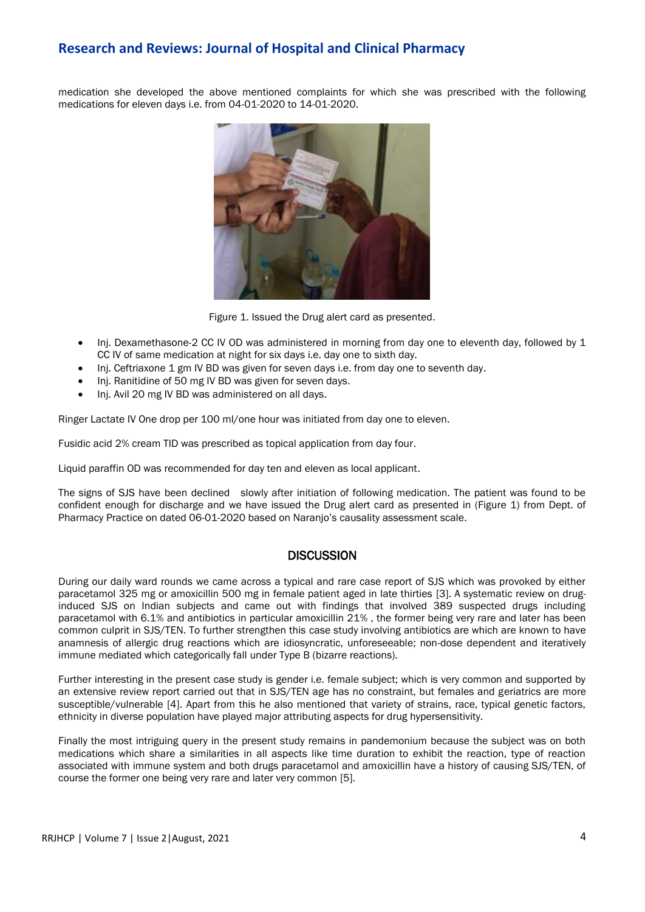## **Research and Reviews: Journal of Hospital and Clinical Pharmacy**

medication she developed the above mentioned complaints for which she was prescribed with the following medications for eleven days i.e. from 04-01-2020 to 14-01-2020.



Figure 1. Issued the Drug alert card as presented.

- Inj. Dexamethasone-2 CC IV OD was administered in morning from day one to eleventh day, followed by 1 CC IV of same medication at night for six days i.e. day one to sixth day.
- Inj. Ceftriaxone 1 gm IV BD was given for seven days i.e. from day one to seventh day.
- Inj. Ranitidine of 50 mg IV BD was given for seven days.
- Inj. Avil 20 mg IV BD was administered on all days.

Ringer Lactate IV One drop per 100 ml/one hour was initiated from day one to eleven.

Fusidic acid 2% cream TID was prescribed as topical application from day four.

Liquid paraffin OD was recommended for day ten and eleven as local applicant.

The signs of SJS have been declined slowly after initiation of following medication. The patient was found to be confident enough for discharge and we have issued the Drug alert card as presented in (Figure 1) from Dept. of Pharmacy Practice on dated 06-01-2020 based on Naranjo's causality assessment scale.

#### **DISCUSSION**

During our daily ward rounds we came across a typical and rare case report of SJS which was provoked by either paracetamol 325 mg or amoxicillin 500 mg in female patient aged in late thirties [3]. A systematic review on druginduced SJS on Indian subjects and came out with findings that involved 389 suspected drugs including paracetamol with 6.1% and antibiotics in particular amoxicillin 21% , the former being very rare and later has been common culprit in SJS/TEN. To further strengthen this case study involving antibiotics are which are known to have anamnesis of allergic drug reactions which are idiosyncratic, unforeseeable; non-dose dependent and iteratively immune mediated which categorically fall under Type B (bizarre reactions).

Further interesting in the present case study is gender i.e. female subject; which is very common and supported by an extensive review report carried out that in SJS/TEN age has no constraint, but females and geriatrics are more susceptible/vulnerable [4]. Apart from this he also mentioned that variety of strains, race, typical genetic factors, ethnicity in diverse population have played major attributing aspects for drug hypersensitivity.

Finally the most intriguing query in the present study remains in pandemonium because the subject was on both medications which share a similarities in all aspects like time duration to exhibit the reaction, type of reaction associated with immune system and both drugs paracetamol and amoxicillin have a history of causing SJS/TEN, of course the former one being very rare and later very common [5].